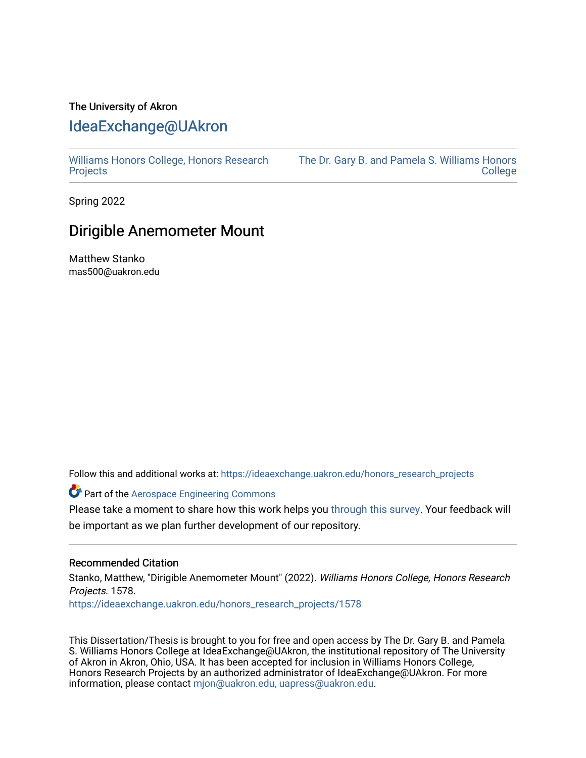## The University of Akron [IdeaExchange@UAkron](https://ideaexchange.uakron.edu/)

[Williams Honors College, Honors Research](https://ideaexchange.uakron.edu/honors_research_projects)  **[Projects](https://ideaexchange.uakron.edu/honors_research_projects)** 

[The Dr. Gary B. and Pamela S. Williams Honors](https://ideaexchange.uakron.edu/honorscollege_ideas)  **College** 

Spring 2022

## Dirigible Anemometer Mount

Matthew Stanko mas500@uakron.edu

Follow this and additional works at: [https://ideaexchange.uakron.edu/honors\\_research\\_projects](https://ideaexchange.uakron.edu/honors_research_projects?utm_source=ideaexchange.uakron.edu%2Fhonors_research_projects%2F1578&utm_medium=PDF&utm_campaign=PDFCoverPages) 

Part of the [Aerospace Engineering Commons](http://network.bepress.com/hgg/discipline/218?utm_source=ideaexchange.uakron.edu%2Fhonors_research_projects%2F1578&utm_medium=PDF&utm_campaign=PDFCoverPages)

Please take a moment to share how this work helps you [through this survey](http://survey.az1.qualtrics.com/SE/?SID=SV_eEVH54oiCbOw05f&URL=https://ideaexchange.uakron.edu/honors_research_projects/1578). Your feedback will be important as we plan further development of our repository.

## Recommended Citation

Stanko, Matthew, "Dirigible Anemometer Mount" (2022). Williams Honors College, Honors Research Projects. 1578.

[https://ideaexchange.uakron.edu/honors\\_research\\_projects/1578](https://ideaexchange.uakron.edu/honors_research_projects/1578?utm_source=ideaexchange.uakron.edu%2Fhonors_research_projects%2F1578&utm_medium=PDF&utm_campaign=PDFCoverPages) 

This Dissertation/Thesis is brought to you for free and open access by The Dr. Gary B. and Pamela S. Williams Honors College at IdeaExchange@UAkron, the institutional repository of The University of Akron in Akron, Ohio, USA. It has been accepted for inclusion in Williams Honors College, Honors Research Projects by an authorized administrator of IdeaExchange@UAkron. For more information, please contact [mjon@uakron.edu, uapress@uakron.edu.](mailto:mjon@uakron.edu,%20uapress@uakron.edu)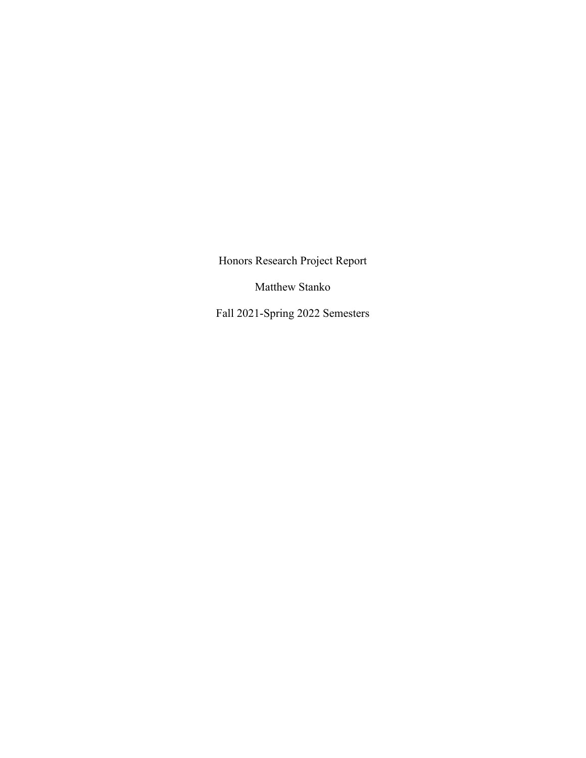Honors Research Project Report

Matthew Stanko

Fall 2021-Spring 2022 Semesters